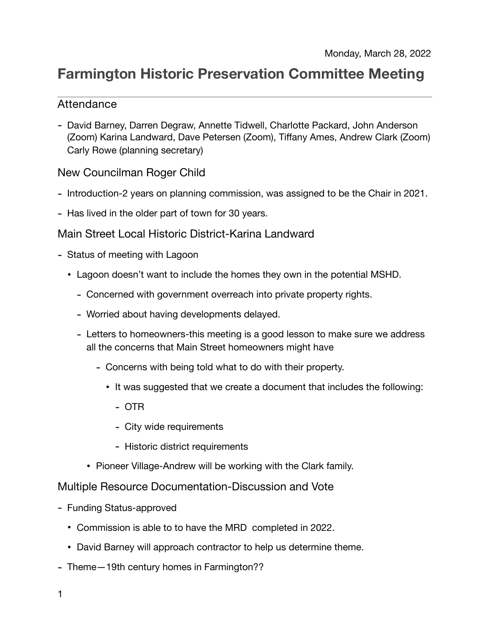# **Farmington Historic Preservation Committee Meeting**

### Attendance

- David Barney, Darren Degraw, Annette Tidwell, Charlotte Packard, John Anderson (Zoom) Karina Landward, Dave Petersen (Zoom), Tiffany Ames, Andrew Clark (Zoom) Carly Rowe (planning secretary)

## New Councilman Roger Child

- Introduction-2 years on planning commission, was assigned to be the Chair in 2021.
- Has lived in the older part of town for 30 years.

#### Main Street Local Historic District-Karina Landward

- Status of meeting with Lagoon
	- Lagoon doesn't want to include the homes they own in the potential MSHD.
		- Concerned with government overreach into private property rights.
		- Worried about having developments delayed.
		- Letters to homeowners-this meeting is a good lesson to make sure we address all the concerns that Main Street homeowners might have
			- Concerns with being told what to do with their property.
				- It was suggested that we create a document that includes the following:
					- OTR
					- City wide requirements
					- Historic district requirements
			- Pioneer Village-Andrew will be working with the Clark family.

Multiple Resource Documentation-Discussion and Vote

- Funding Status-approved
	- Commission is able to to have the MRD completed in 2022.
	- David Barney will approach contractor to help us determine theme.
- Theme—19th century homes in Farmington??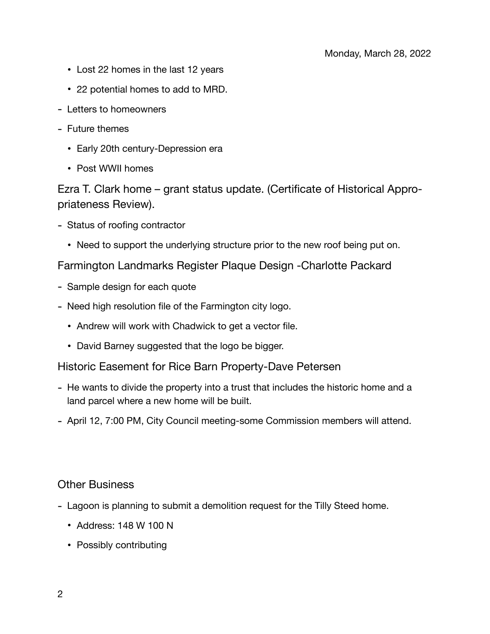- Lost 22 homes in the last 12 years
- 22 potential homes to add to MRD.
- Letters to homeowners
- Future themes
	- Early 20th century-Depression era
	- Post WWII homes

Ezra T. Clark home – grant status update. (Certificate of Historical Appropriateness Review).

- Status of roofing contractor
	- Need to support the underlying structure prior to the new roof being put on.

Farmington Landmarks Register Plaque Design -Charlotte Packard

- Sample design for each quote
- Need high resolution file of the Farmington city logo.
	- Andrew will work with Chadwick to get a vector file.
	- David Barney suggested that the logo be bigger.

Historic Easement for Rice Barn Property-Dave Petersen

- He wants to divide the property into a trust that includes the historic home and a land parcel where a new home will be built.
- April 12, 7:00 PM, City Council meeting-some Commission members will attend.

#### Other Business

- Lagoon is planning to submit a demolition request for the Tilly Steed home.
	- Address: 148 W 100 N
	- Possibly contributing